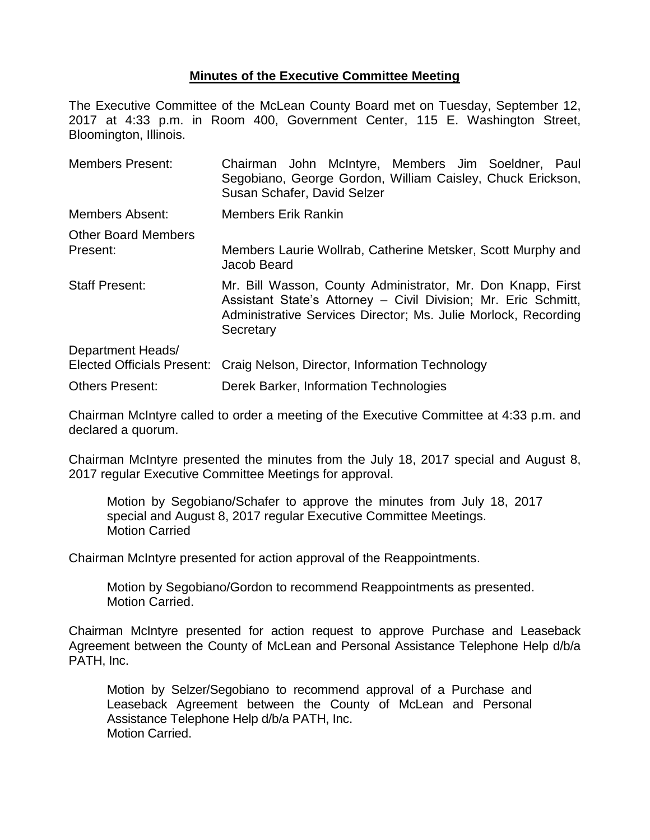## **Minutes of the Executive Committee Meeting**

The Executive Committee of the McLean County Board met on Tuesday, September 12, 2017 at 4:33 p.m. in Room 400, Government Center, 115 E. Washington Street, Bloomington, Illinois.

| <b>Members Present:</b>                                | Chairman John McIntyre, Members Jim Soeldner, Paul<br>Segobiano, George Gordon, William Caisley, Chuck Erickson,<br>Susan Schafer, David Selzer                                                              |  |  |
|--------------------------------------------------------|--------------------------------------------------------------------------------------------------------------------------------------------------------------------------------------------------------------|--|--|
| Members Absent:                                        | <b>Members Erik Rankin</b>                                                                                                                                                                                   |  |  |
| <b>Other Board Members</b><br>Present:                 | Members Laurie Wollrab, Catherine Metsker, Scott Murphy and<br>Jacob Beard                                                                                                                                   |  |  |
| <b>Staff Present:</b>                                  | Mr. Bill Wasson, County Administrator, Mr. Don Knapp, First<br>Assistant State's Attorney – Civil Division; Mr. Eric Schmitt,<br>Administrative Services Director; Ms. Julie Morlock, Recording<br>Secretary |  |  |
| Department Heads/<br><b>Elected Officials Present:</b> | Craig Nelson, Director, Information Technology                                                                                                                                                               |  |  |
| <b>Others Present:</b>                                 | Derek Barker, Information Technologies                                                                                                                                                                       |  |  |

Chairman McIntyre called to order a meeting of the Executive Committee at 4:33 p.m. and declared a quorum.

Chairman McIntyre presented the minutes from the July 18, 2017 special and August 8, 2017 regular Executive Committee Meetings for approval.

Motion by Segobiano/Schafer to approve the minutes from July 18, 2017 special and August 8, 2017 regular Executive Committee Meetings. Motion Carried

Chairman McIntyre presented for action approval of the Reappointments.

Motion by Segobiano/Gordon to recommend Reappointments as presented. Motion Carried.

Chairman McIntyre presented for action request to approve Purchase and Leaseback Agreement between the County of McLean and Personal Assistance Telephone Help d/b/a PATH, Inc.

Motion by Selzer/Segobiano to recommend approval of a Purchase and Leaseback Agreement between the County of McLean and Personal Assistance Telephone Help d/b/a PATH, Inc. Motion Carried.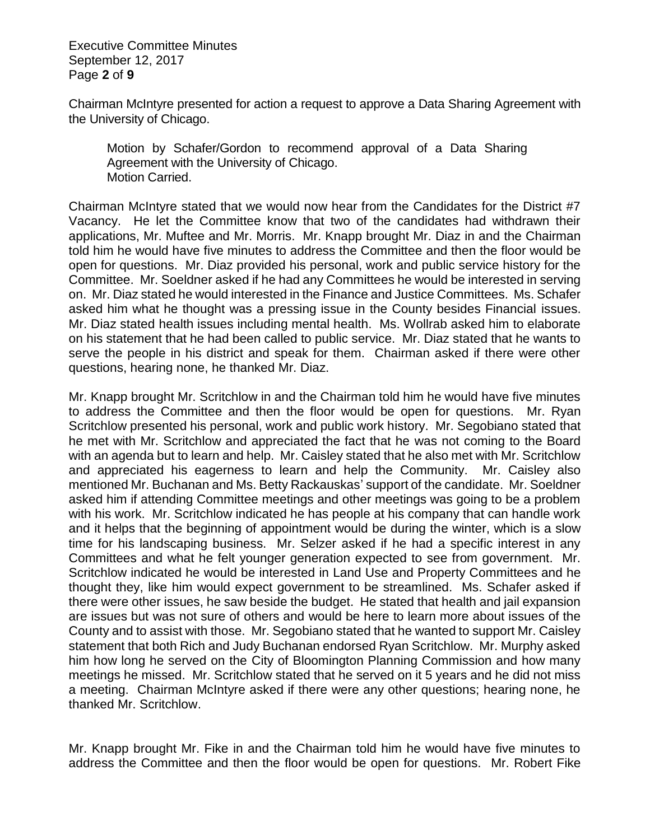Executive Committee Minutes September 12, 2017 Page **2** of **9**

Chairman McIntyre presented for action a request to approve a Data Sharing Agreement with the University of Chicago.

Motion by Schafer/Gordon to recommend approval of a Data Sharing Agreement with the University of Chicago. Motion Carried.

Chairman McIntyre stated that we would now hear from the Candidates for the District #7 Vacancy. He let the Committee know that two of the candidates had withdrawn their applications, Mr. Muftee and Mr. Morris. Mr. Knapp brought Mr. Diaz in and the Chairman told him he would have five minutes to address the Committee and then the floor would be open for questions. Mr. Diaz provided his personal, work and public service history for the Committee. Mr. Soeldner asked if he had any Committees he would be interested in serving on. Mr. Diaz stated he would interested in the Finance and Justice Committees. Ms. Schafer asked him what he thought was a pressing issue in the County besides Financial issues. Mr. Diaz stated health issues including mental health. Ms. Wollrab asked him to elaborate on his statement that he had been called to public service. Mr. Diaz stated that he wants to serve the people in his district and speak for them. Chairman asked if there were other questions, hearing none, he thanked Mr. Diaz.

Mr. Knapp brought Mr. Scritchlow in and the Chairman told him he would have five minutes to address the Committee and then the floor would be open for questions. Mr. Ryan Scritchlow presented his personal, work and public work history. Mr. Segobiano stated that he met with Mr. Scritchlow and appreciated the fact that he was not coming to the Board with an agenda but to learn and help. Mr. Caisley stated that he also met with Mr. Scritchlow and appreciated his eagerness to learn and help the Community. Mr. Caisley also mentioned Mr. Buchanan and Ms. Betty Rackauskas' support of the candidate. Mr. Soeldner asked him if attending Committee meetings and other meetings was going to be a problem with his work. Mr. Scritchlow indicated he has people at his company that can handle work and it helps that the beginning of appointment would be during the winter, which is a slow time for his landscaping business. Mr. Selzer asked if he had a specific interest in any Committees and what he felt younger generation expected to see from government. Mr. Scritchlow indicated he would be interested in Land Use and Property Committees and he thought they, like him would expect government to be streamlined. Ms. Schafer asked if there were other issues, he saw beside the budget. He stated that health and jail expansion are issues but was not sure of others and would be here to learn more about issues of the County and to assist with those. Mr. Segobiano stated that he wanted to support Mr. Caisley statement that both Rich and Judy Buchanan endorsed Ryan Scritchlow. Mr. Murphy asked him how long he served on the City of Bloomington Planning Commission and how many meetings he missed. Mr. Scritchlow stated that he served on it 5 years and he did not miss a meeting. Chairman McIntyre asked if there were any other questions; hearing none, he thanked Mr. Scritchlow.

Mr. Knapp brought Mr. Fike in and the Chairman told him he would have five minutes to address the Committee and then the floor would be open for questions. Mr. Robert Fike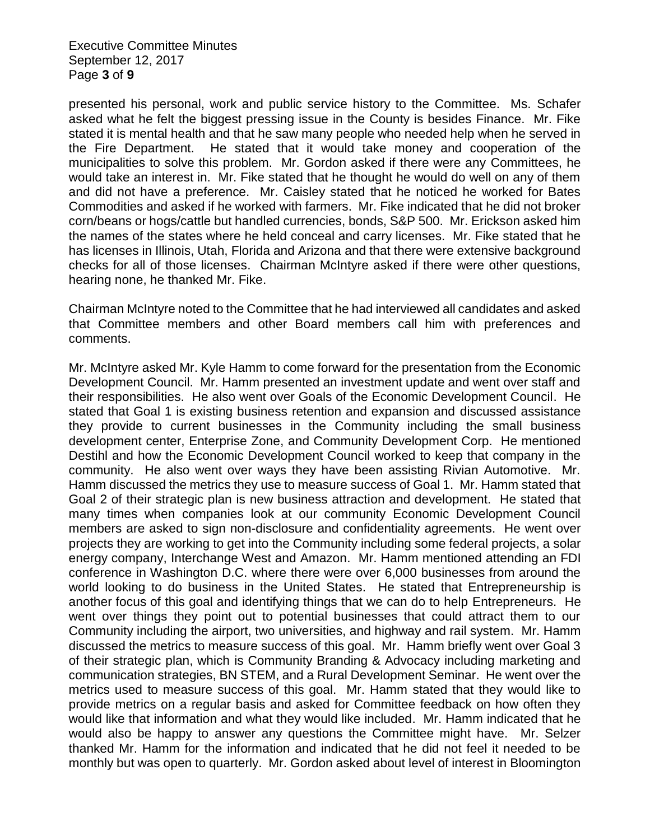Executive Committee Minutes September 12, 2017 Page **3** of **9**

presented his personal, work and public service history to the Committee. Ms. Schafer asked what he felt the biggest pressing issue in the County is besides Finance. Mr. Fike stated it is mental health and that he saw many people who needed help when he served in the Fire Department. He stated that it would take money and cooperation of the municipalities to solve this problem. Mr. Gordon asked if there were any Committees, he would take an interest in. Mr. Fike stated that he thought he would do well on any of them and did not have a preference. Mr. Caisley stated that he noticed he worked for Bates Commodities and asked if he worked with farmers. Mr. Fike indicated that he did not broker corn/beans or hogs/cattle but handled currencies, bonds, S&P 500. Mr. Erickson asked him the names of the states where he held conceal and carry licenses. Mr. Fike stated that he has licenses in Illinois, Utah, Florida and Arizona and that there were extensive background checks for all of those licenses. Chairman McIntyre asked if there were other questions, hearing none, he thanked Mr. Fike.

Chairman McIntyre noted to the Committee that he had interviewed all candidates and asked that Committee members and other Board members call him with preferences and comments.

Mr. McIntyre asked Mr. Kyle Hamm to come forward for the presentation from the Economic Development Council. Mr. Hamm presented an investment update and went over staff and their responsibilities. He also went over Goals of the Economic Development Council. He stated that Goal 1 is existing business retention and expansion and discussed assistance they provide to current businesses in the Community including the small business development center, Enterprise Zone, and Community Development Corp. He mentioned Destihl and how the Economic Development Council worked to keep that company in the community. He also went over ways they have been assisting Rivian Automotive. Mr. Hamm discussed the metrics they use to measure success of Goal 1. Mr. Hamm stated that Goal 2 of their strategic plan is new business attraction and development. He stated that many times when companies look at our community Economic Development Council members are asked to sign non-disclosure and confidentiality agreements. He went over projects they are working to get into the Community including some federal projects, a solar energy company, Interchange West and Amazon. Mr. Hamm mentioned attending an FDI conference in Washington D.C. where there were over 6,000 businesses from around the world looking to do business in the United States. He stated that Entrepreneurship is another focus of this goal and identifying things that we can do to help Entrepreneurs. He went over things they point out to potential businesses that could attract them to our Community including the airport, two universities, and highway and rail system. Mr. Hamm discussed the metrics to measure success of this goal. Mr. Hamm briefly went over Goal 3 of their strategic plan, which is Community Branding & Advocacy including marketing and communication strategies, BN STEM, and a Rural Development Seminar. He went over the metrics used to measure success of this goal. Mr. Hamm stated that they would like to provide metrics on a regular basis and asked for Committee feedback on how often they would like that information and what they would like included. Mr. Hamm indicated that he would also be happy to answer any questions the Committee might have. Mr. Selzer thanked Mr. Hamm for the information and indicated that he did not feel it needed to be monthly but was open to quarterly. Mr. Gordon asked about level of interest in Bloomington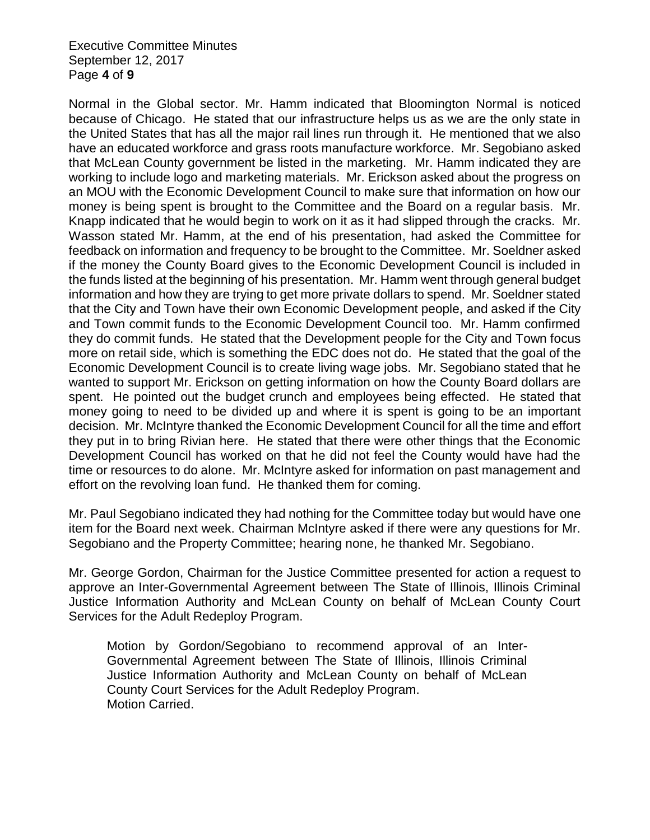Executive Committee Minutes September 12, 2017 Page **4** of **9**

Normal in the Global sector. Mr. Hamm indicated that Bloomington Normal is noticed because of Chicago. He stated that our infrastructure helps us as we are the only state in the United States that has all the major rail lines run through it. He mentioned that we also have an educated workforce and grass roots manufacture workforce. Mr. Segobiano asked that McLean County government be listed in the marketing. Mr. Hamm indicated they are working to include logo and marketing materials. Mr. Erickson asked about the progress on an MOU with the Economic Development Council to make sure that information on how our money is being spent is brought to the Committee and the Board on a regular basis. Mr. Knapp indicated that he would begin to work on it as it had slipped through the cracks. Mr. Wasson stated Mr. Hamm, at the end of his presentation, had asked the Committee for feedback on information and frequency to be brought to the Committee. Mr. Soeldner asked if the money the County Board gives to the Economic Development Council is included in the funds listed at the beginning of his presentation. Mr. Hamm went through general budget information and how they are trying to get more private dollars to spend. Mr. Soeldner stated that the City and Town have their own Economic Development people, and asked if the City and Town commit funds to the Economic Development Council too. Mr. Hamm confirmed they do commit funds. He stated that the Development people for the City and Town focus more on retail side, which is something the EDC does not do. He stated that the goal of the Economic Development Council is to create living wage jobs. Mr. Segobiano stated that he wanted to support Mr. Erickson on getting information on how the County Board dollars are spent. He pointed out the budget crunch and employees being effected. He stated that money going to need to be divided up and where it is spent is going to be an important decision. Mr. McIntyre thanked the Economic Development Council for all the time and effort they put in to bring Rivian here. He stated that there were other things that the Economic Development Council has worked on that he did not feel the County would have had the time or resources to do alone. Mr. McIntyre asked for information on past management and effort on the revolving loan fund. He thanked them for coming.

Mr. Paul Segobiano indicated they had nothing for the Committee today but would have one item for the Board next week. Chairman McIntyre asked if there were any questions for Mr. Segobiano and the Property Committee; hearing none, he thanked Mr. Segobiano.

Mr. George Gordon, Chairman for the Justice Committee presented for action a request to approve an Inter-Governmental Agreement between The State of Illinois, Illinois Criminal Justice Information Authority and McLean County on behalf of McLean County Court Services for the Adult Redeploy Program.

Motion by Gordon/Segobiano to recommend approval of an Inter-Governmental Agreement between The State of Illinois, Illinois Criminal Justice Information Authority and McLean County on behalf of McLean County Court Services for the Adult Redeploy Program. Motion Carried.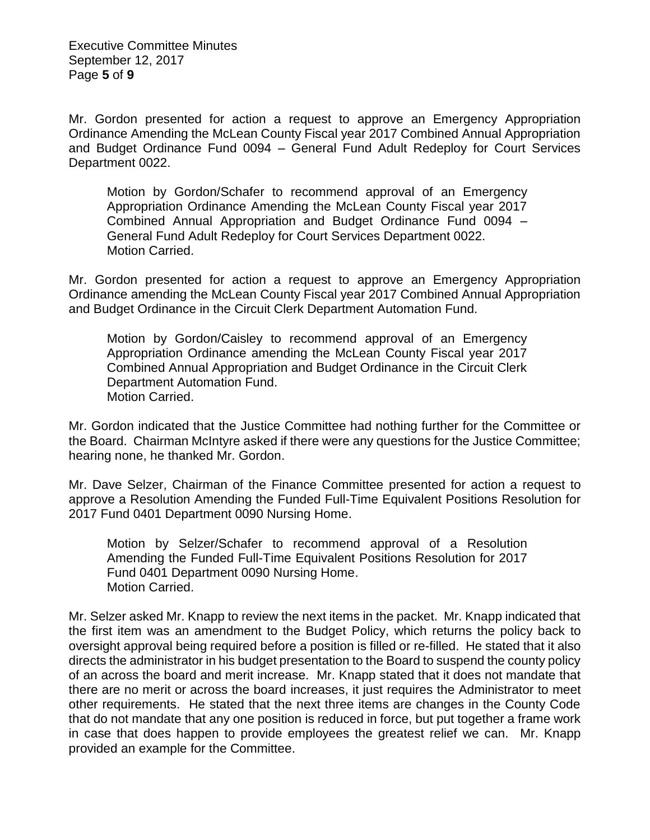Executive Committee Minutes September 12, 2017 Page **5** of **9**

Mr. Gordon presented for action a request to approve an Emergency Appropriation Ordinance Amending the McLean County Fiscal year 2017 Combined Annual Appropriation and Budget Ordinance Fund 0094 – General Fund Adult Redeploy for Court Services Department 0022.

Motion by Gordon/Schafer to recommend approval of an Emergency Appropriation Ordinance Amending the McLean County Fiscal year 2017 Combined Annual Appropriation and Budget Ordinance Fund 0094 – General Fund Adult Redeploy for Court Services Department 0022. Motion Carried.

Mr. Gordon presented for action a request to approve an Emergency Appropriation Ordinance amending the McLean County Fiscal year 2017 Combined Annual Appropriation and Budget Ordinance in the Circuit Clerk Department Automation Fund.

Motion by Gordon/Caisley to recommend approval of an Emergency Appropriation Ordinance amending the McLean County Fiscal year 2017 Combined Annual Appropriation and Budget Ordinance in the Circuit Clerk Department Automation Fund. Motion Carried.

Mr. Gordon indicated that the Justice Committee had nothing further for the Committee or the Board. Chairman McIntyre asked if there were any questions for the Justice Committee; hearing none, he thanked Mr. Gordon.

Mr. Dave Selzer, Chairman of the Finance Committee presented for action a request to approve a Resolution Amending the Funded Full-Time Equivalent Positions Resolution for 2017 Fund 0401 Department 0090 Nursing Home.

Motion by Selzer/Schafer to recommend approval of a Resolution Amending the Funded Full-Time Equivalent Positions Resolution for 2017 Fund 0401 Department 0090 Nursing Home. Motion Carried.

Mr. Selzer asked Mr. Knapp to review the next items in the packet. Mr. Knapp indicated that the first item was an amendment to the Budget Policy, which returns the policy back to oversight approval being required before a position is filled or re-filled. He stated that it also directs the administrator in his budget presentation to the Board to suspend the county policy of an across the board and merit increase. Mr. Knapp stated that it does not mandate that there are no merit or across the board increases, it just requires the Administrator to meet other requirements. He stated that the next three items are changes in the County Code that do not mandate that any one position is reduced in force, but put together a frame work in case that does happen to provide employees the greatest relief we can. Mr. Knapp provided an example for the Committee.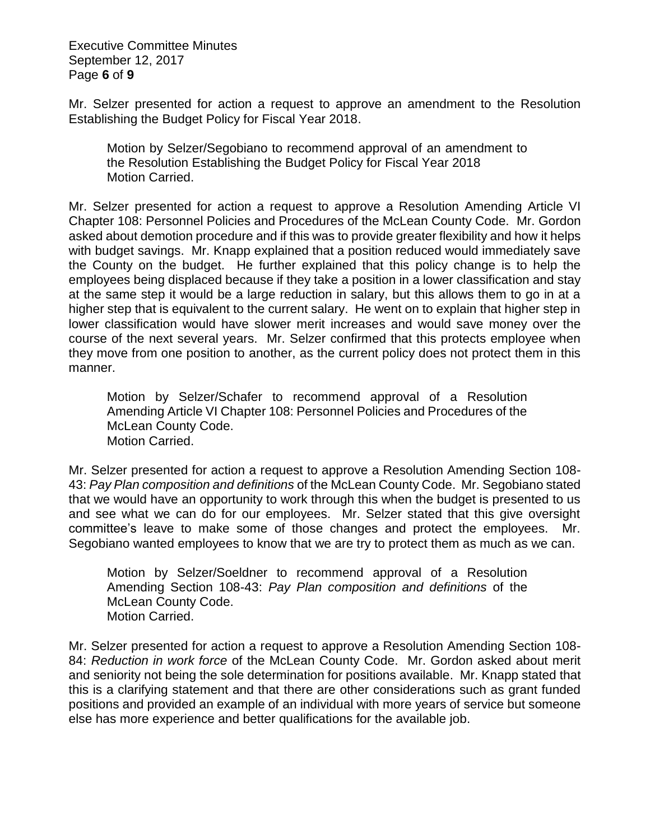Executive Committee Minutes September 12, 2017 Page **6** of **9**

Mr. Selzer presented for action a request to approve an amendment to the Resolution Establishing the Budget Policy for Fiscal Year 2018.

Motion by Selzer/Segobiano to recommend approval of an amendment to the Resolution Establishing the Budget Policy for Fiscal Year 2018 Motion Carried.

Mr. Selzer presented for action a request to approve a Resolution Amending Article VI Chapter 108: Personnel Policies and Procedures of the McLean County Code. Mr. Gordon asked about demotion procedure and if this was to provide greater flexibility and how it helps with budget savings. Mr. Knapp explained that a position reduced would immediately save the County on the budget. He further explained that this policy change is to help the employees being displaced because if they take a position in a lower classification and stay at the same step it would be a large reduction in salary, but this allows them to go in at a higher step that is equivalent to the current salary. He went on to explain that higher step in lower classification would have slower merit increases and would save money over the course of the next several years. Mr. Selzer confirmed that this protects employee when they move from one position to another, as the current policy does not protect them in this manner.

Motion by Selzer/Schafer to recommend approval of a Resolution Amending Article VI Chapter 108: Personnel Policies and Procedures of the McLean County Code. Motion Carried.

Mr. Selzer presented for action a request to approve a Resolution Amending Section 108- 43: *Pay Plan composition and definitions* of the McLean County Code. Mr. Segobiano stated that we would have an opportunity to work through this when the budget is presented to us and see what we can do for our employees. Mr. Selzer stated that this give oversight committee's leave to make some of those changes and protect the employees. Mr. Segobiano wanted employees to know that we are try to protect them as much as we can.

Motion by Selzer/Soeldner to recommend approval of a Resolution Amending Section 108-43: *Pay Plan composition and definitions* of the McLean County Code. Motion Carried.

Mr. Selzer presented for action a request to approve a Resolution Amending Section 108- 84: *Reduction in work force* of the McLean County Code. Mr. Gordon asked about merit and seniority not being the sole determination for positions available. Mr. Knapp stated that this is a clarifying statement and that there are other considerations such as grant funded positions and provided an example of an individual with more years of service but someone else has more experience and better qualifications for the available job.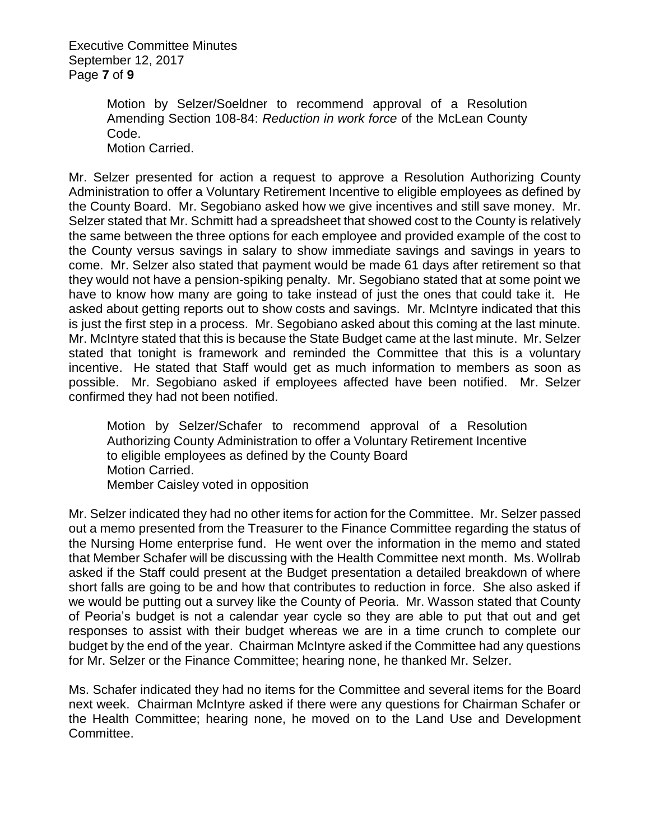Executive Committee Minutes September 12, 2017 Page **7** of **9**

> Motion by Selzer/Soeldner to recommend approval of a Resolution Amending Section 108-84: *Reduction in work force* of the McLean County Code.

Motion Carried.

Mr. Selzer presented for action a request to approve a Resolution Authorizing County Administration to offer a Voluntary Retirement Incentive to eligible employees as defined by the County Board. Mr. Segobiano asked how we give incentives and still save money. Mr. Selzer stated that Mr. Schmitt had a spreadsheet that showed cost to the County is relatively the same between the three options for each employee and provided example of the cost to the County versus savings in salary to show immediate savings and savings in years to come. Mr. Selzer also stated that payment would be made 61 days after retirement so that they would not have a pension-spiking penalty. Mr. Segobiano stated that at some point we have to know how many are going to take instead of just the ones that could take it. He asked about getting reports out to show costs and savings. Mr. McIntyre indicated that this is just the first step in a process. Mr. Segobiano asked about this coming at the last minute. Mr. McIntyre stated that this is because the State Budget came at the last minute. Mr. Selzer stated that tonight is framework and reminded the Committee that this is a voluntary incentive. He stated that Staff would get as much information to members as soon as possible. Mr. Segobiano asked if employees affected have been notified. Mr. Selzer confirmed they had not been notified.

Motion by Selzer/Schafer to recommend approval of a Resolution Authorizing County Administration to offer a Voluntary Retirement Incentive to eligible employees as defined by the County Board Motion Carried. Member Caisley voted in opposition

Mr. Selzer indicated they had no other items for action for the Committee. Mr. Selzer passed out a memo presented from the Treasurer to the Finance Committee regarding the status of the Nursing Home enterprise fund. He went over the information in the memo and stated that Member Schafer will be discussing with the Health Committee next month. Ms. Wollrab asked if the Staff could present at the Budget presentation a detailed breakdown of where short falls are going to be and how that contributes to reduction in force. She also asked if we would be putting out a survey like the County of Peoria. Mr. Wasson stated that County of Peoria's budget is not a calendar year cycle so they are able to put that out and get responses to assist with their budget whereas we are in a time crunch to complete our budget by the end of the year. Chairman McIntyre asked if the Committee had any questions for Mr. Selzer or the Finance Committee; hearing none, he thanked Mr. Selzer.

Ms. Schafer indicated they had no items for the Committee and several items for the Board next week. Chairman McIntyre asked if there were any questions for Chairman Schafer or the Health Committee; hearing none, he moved on to the Land Use and Development Committee.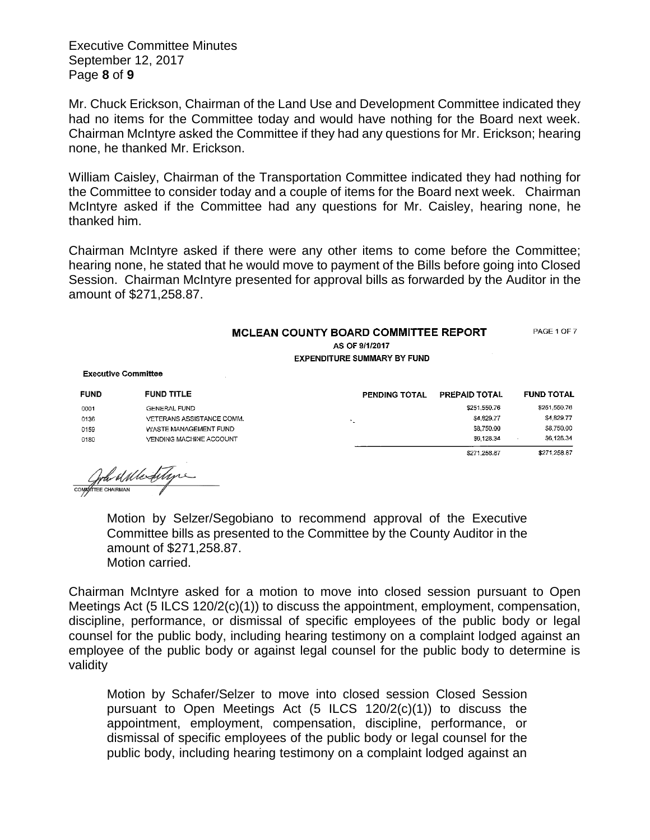Executive Committee Minutes September 12, 2017 Page **8** of **9**

Mr. Chuck Erickson, Chairman of the Land Use and Development Committee indicated they had no items for the Committee today and would have nothing for the Board next week. Chairman McIntyre asked the Committee if they had any questions for Mr. Erickson; hearing none, he thanked Mr. Erickson.

William Caisley, Chairman of the Transportation Committee indicated they had nothing for the Committee to consider today and a couple of items for the Board next week. Chairman McIntyre asked if the Committee had any questions for Mr. Caisley, hearing none, he thanked him.

Chairman McIntyre asked if there were any other items to come before the Committee; hearing none, he stated that he would move to payment of the Bills before going into Closed Session. Chairman McIntyre presented for approval bills as forwarded by the Auditor in the amount of \$271,258.87.

## MCLEAN COUNTY BOARD COMMITTEE REPORT PAGE 1 OF 7 AS OF 9/1/2017 **EXPENDITURE SUMMARY BY FUND**

**Executive Committee** 

| <b>FUND</b> | <b>FUND TITLE</b>         | PENDING TOTAL | <b>PREPAID TOTAL</b> | <b>FUND TOTAL</b> |
|-------------|---------------------------|---------------|----------------------|-------------------|
| 0001        | GENERAL FUND              |               | \$251,550.76         | \$251,550.76      |
| 0136        | VETERANS ASSISTANCE COMM. |               | \$4,829.77           | \$4,829.77        |
| 0159        | WASTE MANAGEMENT FUND     |               | \$8,750.00           | \$8,750.00        |
| 0180        | VENDING MACHINE ACCOUNT   |               | \$6,128.34           | \$6,128.34        |
|             |                           |               | \$271.258.87         | \$271.258.87      |

Complete dilledition

Motion by Selzer/Segobiano to recommend approval of the Executive Committee bills as presented to the Committee by the County Auditor in the amount of \$271,258.87. Motion carried.

Chairman McIntyre asked for a motion to move into closed session pursuant to Open Meetings Act (5 ILCS 120/2(c)(1)) to discuss the appointment, employment, compensation, discipline, performance, or dismissal of specific employees of the public body or legal counsel for the public body, including hearing testimony on a complaint lodged against an employee of the public body or against legal counsel for the public body to determine is validity

Motion by Schafer/Selzer to move into closed session Closed Session pursuant to Open Meetings Act (5 ILCS 120/2(c)(1)) to discuss the appointment, employment, compensation, discipline, performance, or dismissal of specific employees of the public body or legal counsel for the public body, including hearing testimony on a complaint lodged against an